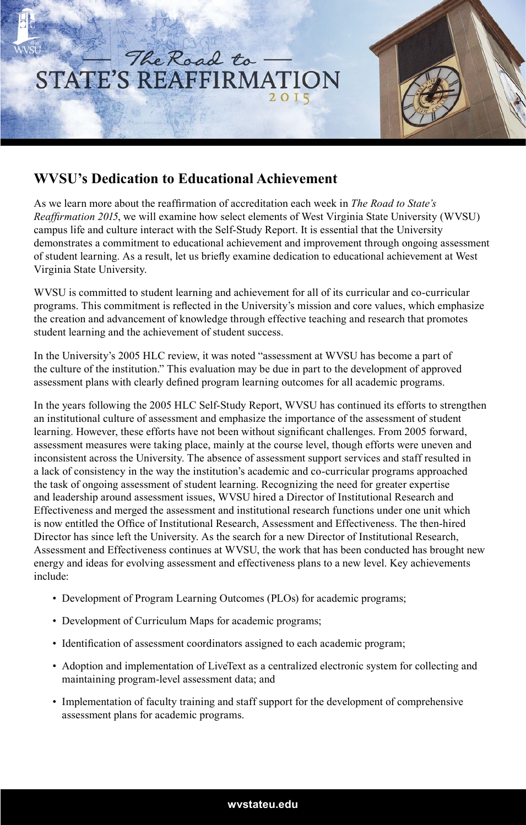

## **WVSU's Dedication to Educational Achievement**

As we learn more about the reaffirmation of accreditation each week in *The Road to State's Reaffirmation 2015*, we will examine how select elements of West Virginia State University (WVSU) campus life and culture interact with the Self-Study Report. It is essential that the University demonstrates a commitment to educational achievement and improvement through ongoing assessment of student learning. As a result, let us briefly examine dedication to educational achievement at West Virginia State University.

WVSU is committed to student learning and achievement for all of its curricular and co-curricular programs. This commitment is reflected in the University's mission and core values, which emphasize the creation and advancement of knowledge through effective teaching and research that promotes student learning and the achievement of student success.

In the University's 2005 HLC review, it was noted "assessment at WVSU has become a part of the culture of the institution." This evaluation may be due in part to the development of approved assessment plans with clearly defined program learning outcomes for all academic programs.

In the years following the 2005 HLC Self-Study Report, WVSU has continued its efforts to strengthen an institutional culture of assessment and emphasize the importance of the assessment of student learning. However, these efforts have not been without significant challenges. From 2005 forward, assessment measures were taking place, mainly at the course level, though efforts were uneven and inconsistent across the University. The absence of assessment support services and staff resulted in a lack of consistency in the way the institution's academic and co-curricular programs approached the task of ongoing assessment of student learning. Recognizing the need for greater expertise and leadership around assessment issues, WVSU hired a Director of Institutional Research and Effectiveness and merged the assessment and institutional research functions under one unit which is now entitled the Office of Institutional Research, Assessment and Effectiveness. The then-hired Director has since left the University. As the search for a new Director of Institutional Research, Assessment and Effectiveness continues at WVSU, the work that has been conducted has brought new energy and ideas for evolving assessment and effectiveness plans to a new level. Key achievements include:

- Development of Program Learning Outcomes (PLOs) for academic programs;
- Development of Curriculum Maps for academic programs;
- Identification of assessment coordinators assigned to each academic program;
- Adoption and implementation of LiveText as a centralized electronic system for collecting and maintaining program-level assessment data; and
- Implementation of faculty training and staff support for the development of comprehensive assessment plans for academic programs.